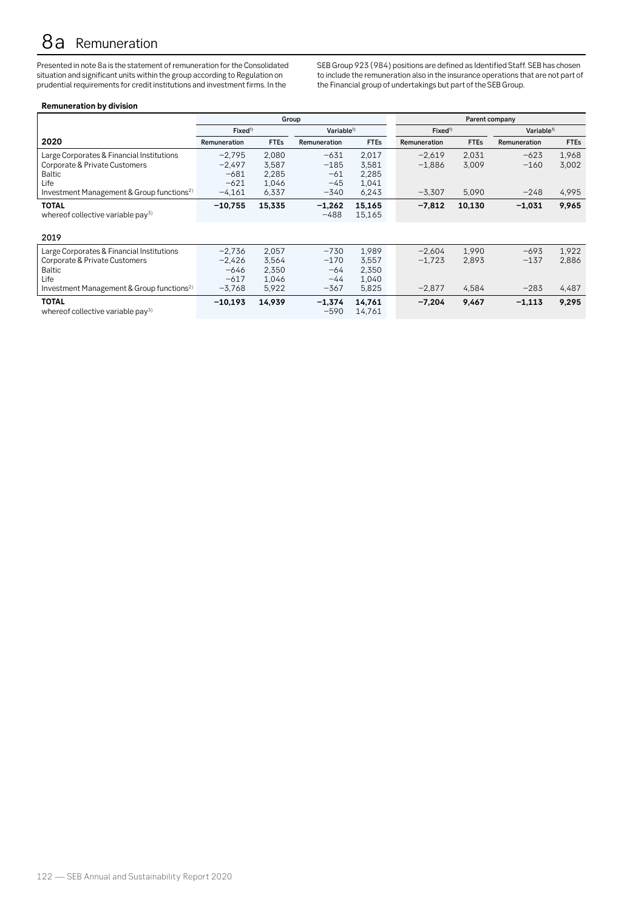# 8a Remuneration

Presented in note 8a is the statement of remuneration for the Consolidated situation and significant units within the group according to Regulation on prudential requirements for credit institutions and investment firms. In the

SEB Group 923 (984) positions are defined as Identified Staff. SEB has chosen to include the remuneration also in the insurance operations that are not part of the Financial group of undertakings but part of the SEB Group.

# **Remuneration by division**

|                                                                                                                                                       |                                                      | Group                                     |                                              |                                           | Parent company                   |                         |                            |                         |  |
|-------------------------------------------------------------------------------------------------------------------------------------------------------|------------------------------------------------------|-------------------------------------------|----------------------------------------------|-------------------------------------------|----------------------------------|-------------------------|----------------------------|-------------------------|--|
|                                                                                                                                                       | Fixed <sup>1</sup><br>Variable <sup>1)</sup>         |                                           |                                              |                                           | Fixed <sup>1</sup>               |                         | Variable <sup>1)</sup>     |                         |  |
| 2020                                                                                                                                                  | Remuneration                                         | <b>FTEs</b>                               | <b>Remuneration</b>                          | <b>FTEs</b>                               | Remuneration                     | <b>FTEs</b>             | Remuneration               | <b>FTEs</b>             |  |
| Large Corporates & Financial Institutions<br>Corporate & Private Customers<br>Baltic<br>Life<br>Investment Management & Group functions <sup>2)</sup> | $-2.795$<br>$-2,497$<br>$-681$<br>$-621$<br>$-4,161$ | 2.080<br>3,587<br>2,285<br>1,046<br>6,337 | $-631$<br>$-185$<br>$-61$<br>$-45$<br>$-340$ | 2.017<br>3,581<br>2,285<br>1,041<br>6,243 | $-2.619$<br>$-1,886$<br>$-3.307$ | 2.031<br>3,009<br>5,090 | $-623$<br>$-160$<br>$-248$ | 1.968<br>3,002<br>4,995 |  |
| <b>TOTAL</b><br>whereof collective variable pay <sup>3)</sup>                                                                                         | $-10,755$                                            | 15,335                                    | $-1,262$<br>$-488$                           | 15,165<br>15,165                          | $-7,812$                         | 10,130                  | $-1,031$                   | 9,965                   |  |
| 2019                                                                                                                                                  |                                                      |                                           |                                              |                                           |                                  |                         |                            |                         |  |
| Large Corporates & Financial Institutions<br>Corporate & Private Customers<br>Baltic<br>Life<br>Investment Management & Group functions <sup>2)</sup> | $-2,736$<br>$-2,426$<br>$-646$<br>$-617$<br>$-3,768$ | 2,057<br>3,564<br>2,350<br>1,046<br>5,922 | $-730$<br>$-170$<br>$-64$<br>$-44$<br>$-367$ | 1.989<br>3,557<br>2,350<br>1,040<br>5,825 | $-2.604$<br>$-1,723$<br>$-2,877$ | 1.990<br>2,893<br>4,584 | $-693$<br>$-137$<br>$-283$ | 1,922<br>2,886<br>4,487 |  |
| <b>TOTAL</b><br>whereof collective variable pay <sup>3)</sup>                                                                                         | $-10.193$                                            | 14,939                                    | $-1.374$<br>$-590$                           | 14,761<br>14,761                          | $-7.204$                         | 9,467                   | $-1,113$                   | 9,295                   |  |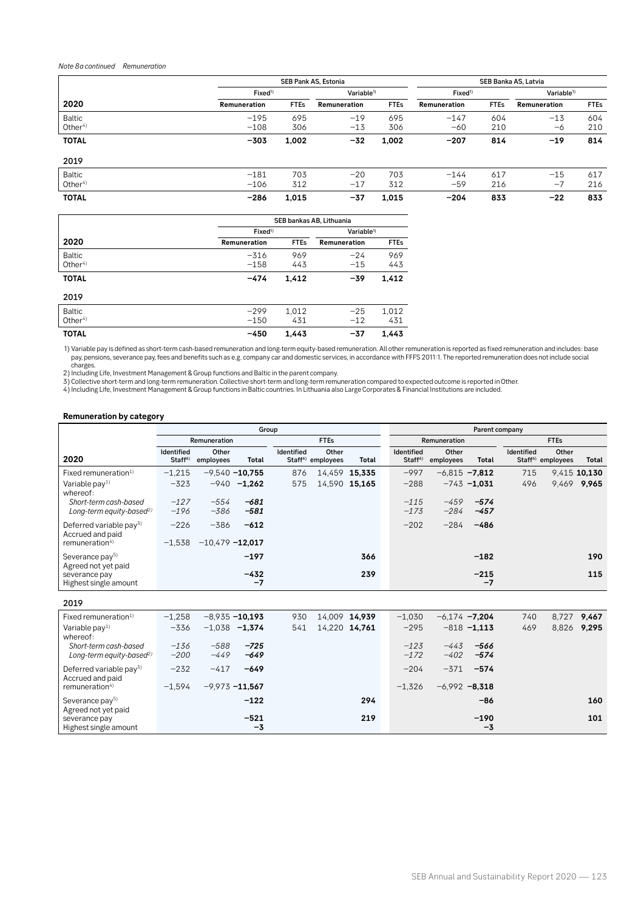## *Note 8a continued Remuneration*

|                                     |                     | SEB Pank AS, Estonia<br>SEB Banka AS, Latvia |                                               |             |                 |             |                        |             |
|-------------------------------------|---------------------|----------------------------------------------|-----------------------------------------------|-------------|-----------------|-------------|------------------------|-------------|
|                                     | Fixed <sup>1)</sup> |                                              | Variable <sup>1)</sup><br>Fixed <sup>1)</sup> |             |                 |             | Variable <sup>1)</sup> |             |
| 2020                                | Remuneration        | <b>FTEs</b>                                  | Remuneration                                  | <b>FTEs</b> | Remuneration    | <b>FTEs</b> | Remuneration           | <b>FTEs</b> |
| Baltic<br>Other $4$ )               | $-195$<br>$-108$    | 695<br>306                                   | $-19$<br>$-13$                                | 695<br>306  | $-147$<br>$-60$ | 604<br>210  | $-13$<br>-6            | 604<br>210  |
| <b>TOTAL</b>                        | $-303$              | 1,002                                        | $-32$                                         | 1,002       | $-207$          | 814         | $-19$                  | 814         |
| 2019                                |                     |                                              |                                               |             |                 |             |                        |             |
| <b>Baltic</b><br>Other <sup>4</sup> | $-181$<br>$-106$    | 703<br>312                                   | $-20$<br>$-17$                                | 703<br>312  | $-144$<br>$-59$ | 617<br>216  | $-15$<br>$-7$          | 617<br>216  |
| <b>TOTAL</b>                        | $-286$              | 1,015                                        | $-37$                                         | 1,015       | $-204$          | 833         | $-22$                  | 833         |
| SEB bankas AB, Lithuania            |                     |                                              |                                               |             |                 |             |                        |             |

|                                     | SED Dankas AD, Lithuania |                        |                |              |  |  |  |  |  |
|-------------------------------------|--------------------------|------------------------|----------------|--------------|--|--|--|--|--|
|                                     | Fixed <sup>1</sup>       | Variable <sup>1)</sup> |                |              |  |  |  |  |  |
| 2020                                | Remuneration             | <b>FTEs</b>            | Remuneration   | <b>FTEs</b>  |  |  |  |  |  |
| <b>Baltic</b><br>Other <sup>4</sup> | $-316$<br>$-158$         | 969<br>443             | $-24$<br>$-15$ | 969<br>443   |  |  |  |  |  |
| <b>TOTAL</b>                        | $-474$                   | 1.412                  | $-39$          | 1,412        |  |  |  |  |  |
| 2019                                |                          |                        |                |              |  |  |  |  |  |
| <b>Baltic</b><br>Other $4$ )        | $-299$<br>$-150$         | 1,012<br>431           | $-25$<br>$-12$ | 1,012<br>431 |  |  |  |  |  |
|                                     |                          |                        |                |              |  |  |  |  |  |
| <b>TOTAL</b>                        | $-450$                   | 1.443                  | -37            | 1.443        |  |  |  |  |  |

1) Variable pay is defined as short-term cash-based remuneration and long-term equity-based remuneration. All other remuneration is reported as fixed remuneration and includes: base<br>pay, pensions, severance pay, fees and b

# **Remuneration by category**

|                                                               | Group                             |                    |                   |                   |                                        |               |                                          | Parent company     |                  |            |                                        |              |  |  |
|---------------------------------------------------------------|-----------------------------------|--------------------|-------------------|-------------------|----------------------------------------|---------------|------------------------------------------|--------------------|------------------|------------|----------------------------------------|--------------|--|--|
|                                                               |                                   | Remuneration       |                   |                   | <b>FTEs</b>                            |               |                                          | Remuneration       |                  |            | <b>FTEs</b>                            |              |  |  |
| 2020                                                          | Identified<br>Staff <sup>6)</sup> | Other<br>employees | Total             | <b>Identified</b> | Other<br>Staff <sup>6)</sup> employees | Total         | <b>Identified</b><br>Staff <sup>6)</sup> | Other<br>employees | Total            | Identified | Other<br>Staff <sup>6)</sup> employees | Total        |  |  |
| Fixed remuneration <sup>1)</sup>                              | $-1,215$                          |                    | $-9,540 - 10,755$ | 876               |                                        | 14,459 15,335 | $-997$                                   | $-6,815 -7,812$    |                  | 715        |                                        | 9,415 10,130 |  |  |
| Variable $pay1$<br>whereof:                                   | $-323$                            | $-940$             | $-1.262$          | 575               |                                        | 14,590 15,165 | $-288$                                   |                    | $-743 - 1,031$   | 496        |                                        | 9,469 9,965  |  |  |
| Short-term cash-based<br>Long-term equity-based <sup>2)</sup> | $-127$<br>$-196$                  | $-554$<br>-386     | $-681$<br>-581    |                   |                                        |               | $-115$<br>$-173$                         | $-459$<br>$-284$   | $-574$<br>$-457$ |            |                                        |              |  |  |
| Deferred variable pay <sup>3)</sup><br>Accrued and paid       | $-226$                            | $-386$             | $-612$            |                   |                                        |               | $-202$                                   | $-284$             | $-486$           |            |                                        |              |  |  |
| remuneration <sup>4)</sup>                                    | $-1.538$                          | $-10.479 - 12.017$ |                   |                   |                                        |               |                                          |                    |                  |            |                                        |              |  |  |
| Severance pay <sup>5)</sup><br>Agreed not yet paid            |                                   |                    | $-197$            |                   |                                        | 366           |                                          |                    | $-182$           |            |                                        | 190          |  |  |
| severance pay<br>Highest single amount                        |                                   |                    | $-432$<br>-7      |                   |                                        | 239           |                                          |                    | $-215$<br>-7     |            |                                        | 115          |  |  |

| Fixed remuneration $1$               | $-1,258$ |                   | $-8,935 - 10,193$ | 930 | 14,009 14,939 | $-1.030$ | $-6.174 -7.204$  |                | 740 | 8,727 9,467 |     |
|--------------------------------------|----------|-------------------|-------------------|-----|---------------|----------|------------------|----------------|-----|-------------|-----|
| Variable $pay1$                      | $-336$   |                   | $-1,038$ $-1,374$ | 541 | 14,220 14,761 | $-295$   |                  | $-818 - 1.113$ | 469 | 8,826 9,295 |     |
| whereof:                             |          |                   |                   |     |               |          |                  |                |     |             |     |
| Short-term cash-based                | $-136$   | $-588$            | $-725$            |     |               | $-123$   | -443             | -566           |     |             |     |
| Long-term equity-based <sup>2)</sup> | $-200$   | $-449$            | $-649$            |     |               | $-172$   | $-402$           | $-574$         |     |             |     |
| Deferred variable pay <sup>3)</sup>  | $-232$   | $-417$            | $-649$            |     |               | $-204$   | $-371$           | $-574$         |     |             |     |
| Accrued and paid                     |          |                   |                   |     |               |          |                  |                |     |             |     |
| remuneration <sup>4)</sup>           | $-1.594$ | $-9.973 - 11.567$ |                   |     |               | $-1,326$ | $-6.992 - 8.318$ |                |     |             |     |
| Severance pay <sup>5)</sup>          |          |                   | $-122$            |     | 294           |          |                  | $-86$          |     |             | 160 |
| Agreed not yet paid                  |          |                   |                   |     |               |          |                  |                |     |             |     |
| severance pay                        |          |                   | $-521$            |     | 219           |          |                  | $-190$         |     |             | 101 |
| Highest single amount                |          |                   | -3                |     |               |          |                  | $-3$           |     |             |     |